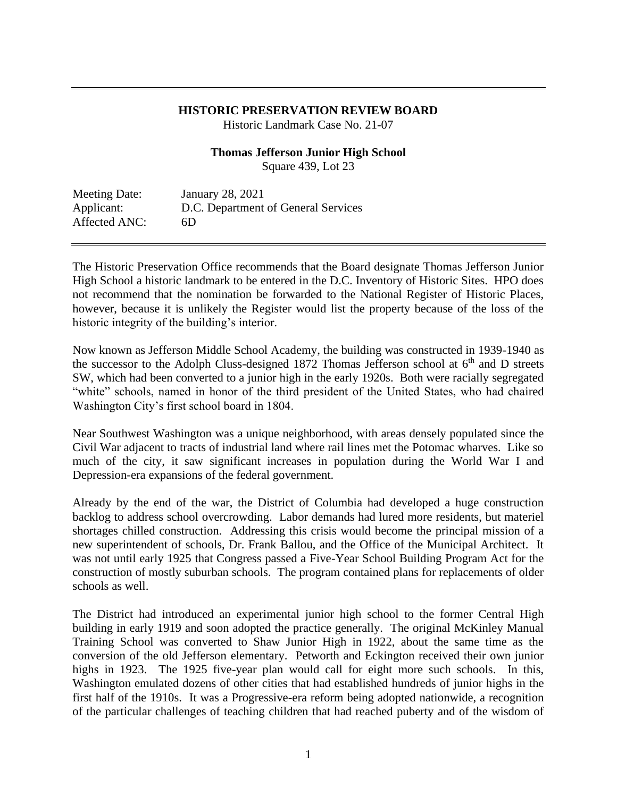## **HISTORIC PRESERVATION REVIEW BOARD**

Historic Landmark Case No. 21-07

### **Thomas Jefferson Junior High School**

Square 439, Lot 23

Meeting Date: January 28, 2021 Applicant: D.C. Department of General Services Affected ANC: 6D

The Historic Preservation Office recommends that the Board designate Thomas Jefferson Junior High School a historic landmark to be entered in the D.C. Inventory of Historic Sites. HPO does not recommend that the nomination be forwarded to the National Register of Historic Places, however, because it is unlikely the Register would list the property because of the loss of the historic integrity of the building's interior.

Now known as Jefferson Middle School Academy, the building was constructed in 1939-1940 as the successor to the Adolph Cluss-designed 1872 Thomas Jefferson school at  $6<sup>th</sup>$  and D streets SW, which had been converted to a junior high in the early 1920s. Both were racially segregated "white" schools, named in honor of the third president of the United States, who had chaired Washington City's first school board in 1804.

Near Southwest Washington was a unique neighborhood, with areas densely populated since the Civil War adjacent to tracts of industrial land where rail lines met the Potomac wharves. Like so much of the city, it saw significant increases in population during the World War I and Depression-era expansions of the federal government.

Already by the end of the war, the District of Columbia had developed a huge construction backlog to address school overcrowding. Labor demands had lured more residents, but materiel shortages chilled construction. Addressing this crisis would become the principal mission of a new superintendent of schools, Dr. Frank Ballou, and the Office of the Municipal Architect. It was not until early 1925 that Congress passed a Five-Year School Building Program Act for the construction of mostly suburban schools. The program contained plans for replacements of older schools as well.

The District had introduced an experimental junior high school to the former Central High building in early 1919 and soon adopted the practice generally. The original McKinley Manual Training School was converted to Shaw Junior High in 1922, about the same time as the conversion of the old Jefferson elementary. Petworth and Eckington received their own junior highs in 1923. The 1925 five-year plan would call for eight more such schools. In this, Washington emulated dozens of other cities that had established hundreds of junior highs in the first half of the 1910s. It was a Progressive-era reform being adopted nationwide, a recognition of the particular challenges of teaching children that had reached puberty and of the wisdom of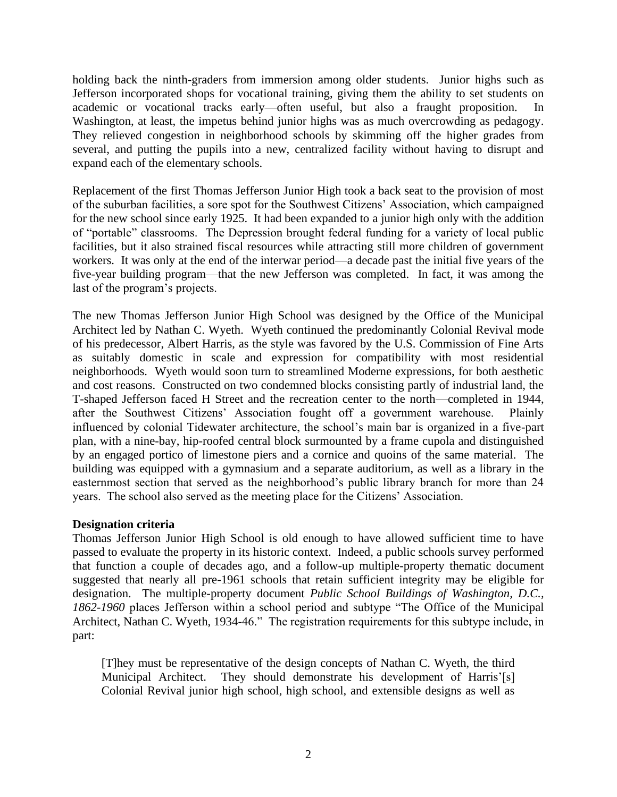holding back the ninth-graders from immersion among older students. Junior highs such as Jefferson incorporated shops for vocational training, giving them the ability to set students on academic or vocational tracks early—often useful, but also a fraught proposition. In Washington, at least, the impetus behind junior highs was as much overcrowding as pedagogy. They relieved congestion in neighborhood schools by skimming off the higher grades from several, and putting the pupils into a new, centralized facility without having to disrupt and expand each of the elementary schools.

Replacement of the first Thomas Jefferson Junior High took a back seat to the provision of most of the suburban facilities, a sore spot for the Southwest Citizens' Association, which campaigned for the new school since early 1925. It had been expanded to a junior high only with the addition of "portable" classrooms. The Depression brought federal funding for a variety of local public facilities, but it also strained fiscal resources while attracting still more children of government workers. It was only at the end of the interwar period—a decade past the initial five years of the five-year building program—that the new Jefferson was completed. In fact, it was among the last of the program's projects.

The new Thomas Jefferson Junior High School was designed by the Office of the Municipal Architect led by Nathan C. Wyeth. Wyeth continued the predominantly Colonial Revival mode of his predecessor, Albert Harris, as the style was favored by the U.S. Commission of Fine Arts as suitably domestic in scale and expression for compatibility with most residential neighborhoods. Wyeth would soon turn to streamlined Moderne expressions, for both aesthetic and cost reasons. Constructed on two condemned blocks consisting partly of industrial land, the T-shaped Jefferson faced H Street and the recreation center to the north—completed in 1944, after the Southwest Citizens' Association fought off a government warehouse. Plainly influenced by colonial Tidewater architecture, the school's main bar is organized in a five-part plan, with a nine-bay, hip-roofed central block surmounted by a frame cupola and distinguished by an engaged portico of limestone piers and a cornice and quoins of the same material. The building was equipped with a gymnasium and a separate auditorium, as well as a library in the easternmost section that served as the neighborhood's public library branch for more than 24 years. The school also served as the meeting place for the Citizens' Association.

## **Designation criteria**

Thomas Jefferson Junior High School is old enough to have allowed sufficient time to have passed to evaluate the property in its historic context. Indeed, a public schools survey performed that function a couple of decades ago, and a follow-up multiple-property thematic document suggested that nearly all pre-1961 schools that retain sufficient integrity may be eligible for designation. The multiple-property document *Public School Buildings of Washington, D.C., 1862-1960* places Jefferson within a school period and subtype "The Office of the Municipal Architect, Nathan C. Wyeth, 1934-46." The registration requirements for this subtype include, in part:

[T]hey must be representative of the design concepts of Nathan C. Wyeth, the third Municipal Architect. They should demonstrate his development of Harris'[s] Colonial Revival junior high school, high school, and extensible designs as well as